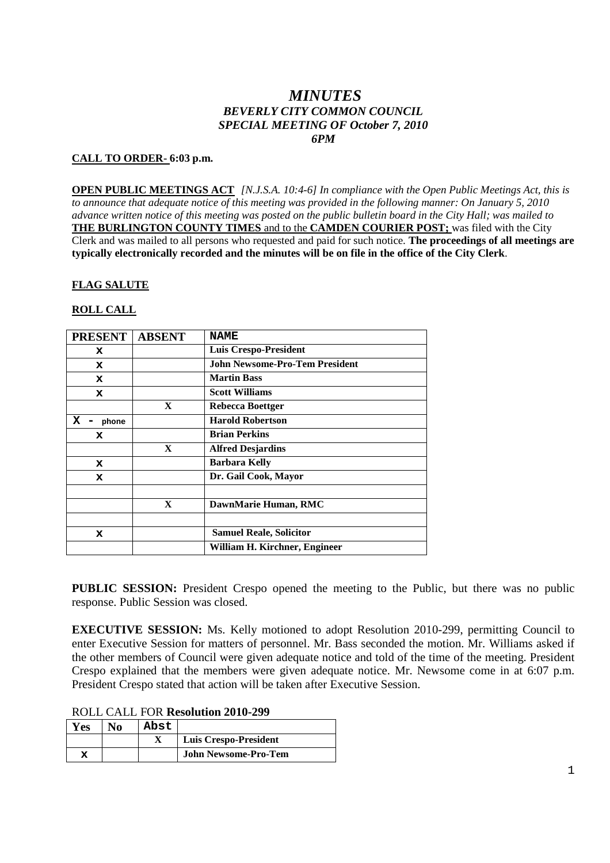# *MINUTES BEVERLY CITY COMMON COUNCIL SPECIAL MEETING OF October 7, 2010 6PM*

### **CALL TO ORDER- 6:03 p.m.**

**OPEN PUBLIC MEETINGS ACT** *[N.J.S.A. 10:4-6] In compliance with the Open Public Meetings Act, this is to announce that adequate notice of this meeting was provided in the following manner: On January 5, 2010 advance written notice of this meeting was posted on the public bulletin board in the City Hall; was mailed to* **THE BURLINGTON COUNTY TIMES** and to the **CAMDEN COURIER POST;** was filed with the City Clerk and was mailed to all persons who requested and paid for such notice. **The proceedings of all meetings are typically electronically recorded and the minutes will be on file in the office of the City Clerk**.

#### **FLAG SALUTE**

## **ROLL CALL**

| <b>PRESENT</b> | <b>ABSENT</b> | <b>NAME</b>                           |
|----------------|---------------|---------------------------------------|
| x              |               | <b>Luis Crespo-President</b>          |
| x              |               | <b>John Newsome-Pro-Tem President</b> |
| x              |               | <b>Martin Bass</b>                    |
| x              |               | <b>Scott Williams</b>                 |
|                | $\mathbf{X}$  | Rebecca Boettger                      |
| x<br>phone     |               | <b>Harold Robertson</b>               |
| x              |               | <b>Brian Perkins</b>                  |
|                | $\mathbf X$   | <b>Alfred Desjardins</b>              |
| x              |               | <b>Barbara Kelly</b>                  |
| x              |               | Dr. Gail Cook, Mayor                  |
|                |               |                                       |
|                | $\mathbf{X}$  | DawnMarie Human, RMC                  |
|                |               |                                       |
| x              |               | <b>Samuel Reale, Solicitor</b>        |
|                |               | William H. Kirchner, Engineer         |

**PUBLIC SESSION:** President Crespo opened the meeting to the Public, but there was no public response. Public Session was closed.

**EXECUTIVE SESSION:** Ms. Kelly motioned to adopt Resolution 2010-299, permitting Council to enter Executive Session for matters of personnel. Mr. Bass seconded the motion. Mr. Williams asked if the other members of Council were given adequate notice and told of the time of the meeting. President Crespo explained that the members were given adequate notice. Mr. Newsome come in at 6:07 p.m. President Crespo stated that action will be taken after Executive Session.

| <b>ROLL CALL FOR Resolution 2010-299</b> |  |  |
|------------------------------------------|--|--|
|------------------------------------------|--|--|

| Y es | No | Abst |                             |
|------|----|------|-----------------------------|
|      |    |      | Luis Crespo-President       |
| x    |    |      | <b>John Newsome-Pro-Tem</b> |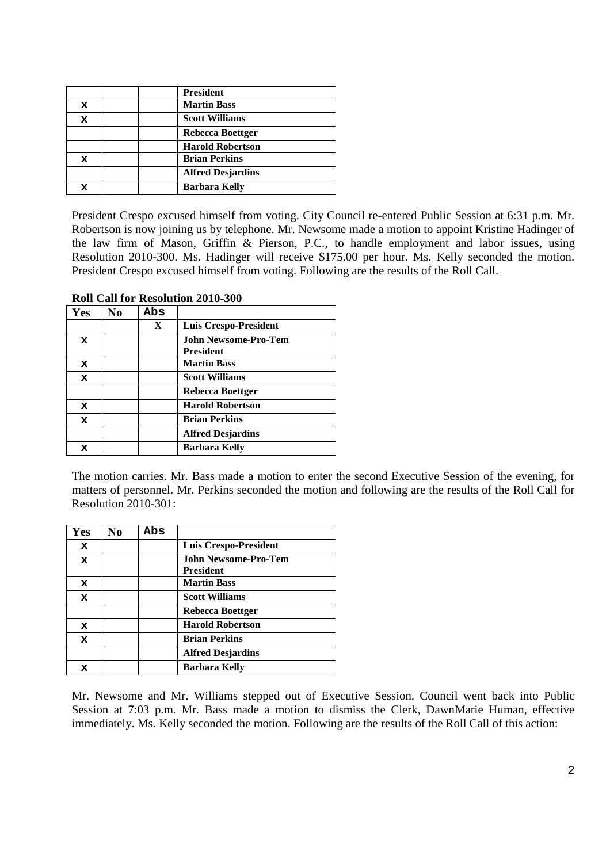|             | <b>President</b>         |
|-------------|--------------------------|
| x           | <b>Martin Bass</b>       |
| $\mathbf x$ | <b>Scott Williams</b>    |
|             | Rebecca Boettger         |
|             | <b>Harold Robertson</b>  |
| x           | <b>Brian Perkins</b>     |
|             | <b>Alfred Desjardins</b> |
| x           | <b>Barbara Kelly</b>     |

President Crespo excused himself from voting. City Council re-entered Public Session at 6:31 p.m. Mr. Robertson is now joining us by telephone. Mr. Newsome made a motion to appoint Kristine Hadinger of the law firm of Mason, Griffin & Pierson, P.C., to handle employment and labor issues, using Resolution 2010-300. Ms. Hadinger will receive \$175.00 per hour. Ms. Kelly seconded the motion. President Crespo excused himself from voting. Following are the results of the Roll Call.

| <b>Yes</b>  | No | Abs          |                                                 |
|-------------|----|--------------|-------------------------------------------------|
|             |    | $\mathbf{X}$ | Luis Crespo-President                           |
| x           |    |              | <b>John Newsome-Pro-Tem</b><br><b>President</b> |
| x           |    |              | <b>Martin Bass</b>                              |
| x           |    |              | <b>Scott Williams</b>                           |
|             |    |              | Rebecca Boettger                                |
| x           |    |              | <b>Harold Robertson</b>                         |
| $\mathbf x$ |    |              | <b>Brian Perkins</b>                            |
|             |    |              | <b>Alfred Desjardins</b>                        |
| x           |    |              | <b>Barbara Kelly</b>                            |

**Roll Call for Resolution 2010-300**

The motion carries. Mr. Bass made a motion to enter the second Executive Session of the evening, for matters of personnel. Mr. Perkins seconded the motion and following are the results of the Roll Call for Resolution 2010-301:

| Yes         | No | Abs |                                                 |
|-------------|----|-----|-------------------------------------------------|
| x           |    |     | Luis Crespo-President                           |
| $\mathbf x$ |    |     | <b>John Newsome-Pro-Tem</b><br><b>President</b> |
| x           |    |     | <b>Martin Bass</b>                              |
| x           |    |     | <b>Scott Williams</b>                           |
|             |    |     | Rebecca Boettger                                |
| x           |    |     | <b>Harold Robertson</b>                         |
| $\mathbf x$ |    |     | <b>Brian Perkins</b>                            |
|             |    |     | <b>Alfred Desjardins</b>                        |
|             |    |     | <b>Barbara Kelly</b>                            |

Mr. Newsome and Mr. Williams stepped out of Executive Session. Council went back into Public Session at 7:03 p.m. Mr. Bass made a motion to dismiss the Clerk, DawnMarie Human, effective immediately. Ms. Kelly seconded the motion. Following are the results of the Roll Call of this action: